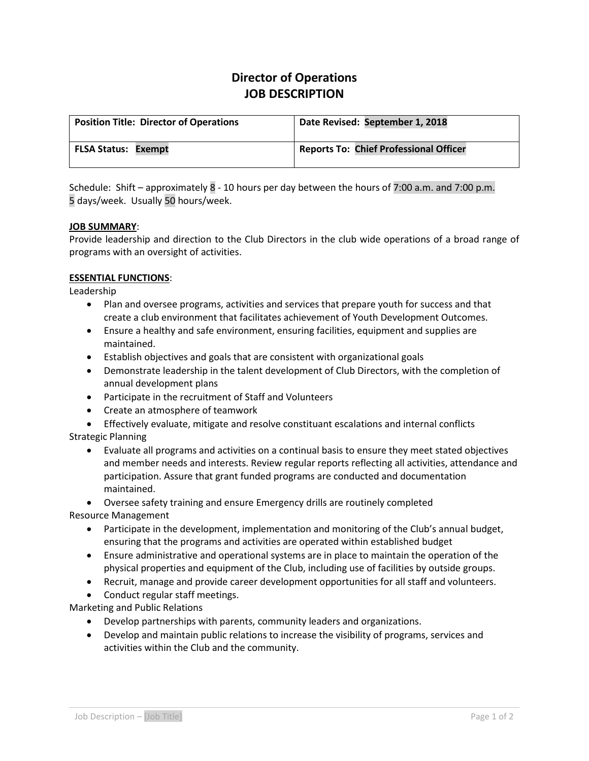# **Director of Operations JOB DESCRIPTION**

| <b>Position Title: Director of Operations</b> | Date Revised: September 1, 2018               |
|-----------------------------------------------|-----------------------------------------------|
| <b>FLSA Status: Exempt</b>                    | <b>Reports To: Chief Professional Officer</b> |

Schedule: Shift – approximately 8 - 10 hours per day between the hours of 7:00 a.m. and 7:00 p.m. 5 days/week. Usually 50 hours/week.

## **JOB SUMMARY**:

Provide leadership and direction to the Club Directors in the club wide operations of a broad range of programs with an oversight of activities.

### **ESSENTIAL FUNCTIONS**:

Leadership

- Plan and oversee programs, activities and services that prepare youth for success and that create a club environment that facilitates achievement of Youth Development Outcomes.
- Ensure a healthy and safe environment, ensuring facilities, equipment and supplies are maintained.
- Establish objectives and goals that are consistent with organizational goals
- Demonstrate leadership in the talent development of Club Directors, with the completion of annual development plans
- Participate in the recruitment of Staff and Volunteers
- Create an atmosphere of teamwork
- Effectively evaluate, mitigate and resolve constituant escalations and internal conflicts Strategic Planning
	- Evaluate all programs and activities on a continual basis to ensure they meet stated objectives and member needs and interests. Review regular reports reflecting all activities, attendance and participation. Assure that grant funded programs are conducted and documentation maintained.

• Oversee safety training and ensure Emergency drills are routinely completed

Resource Management

- Participate in the development, implementation and monitoring of the Club's annual budget, ensuring that the programs and activities are operated within established budget
- Ensure administrative and operational systems are in place to maintain the operation of the physical properties and equipment of the Club, including use of facilities by outside groups.
- Recruit, manage and provide career development opportunities for all staff and volunteers.
- Conduct regular staff meetings.

Marketing and Public Relations

- Develop partnerships with parents, community leaders and organizations.
- Develop and maintain public relations to increase the visibility of programs, services and activities within the Club and the community.